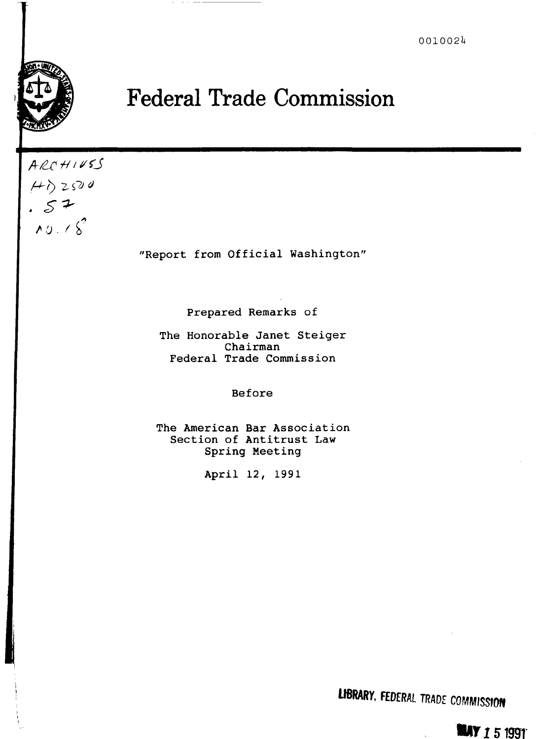

## **Federal Trade Commission**

*A-il flti/(.J*   $(4)$  2500  $.57$ /1 *U* . *I* ~·

"Report from Official Washington"

Prepared Remarks of

The Honorable Janet Steiger Chairman Federal Trade Commission

Before

The American Bar Association Section of Antitrust Law Spring Meeting

April 12, 1991

**LIBRARY. FEDERAL TRADE COMMISSION** 

**LAY 151991**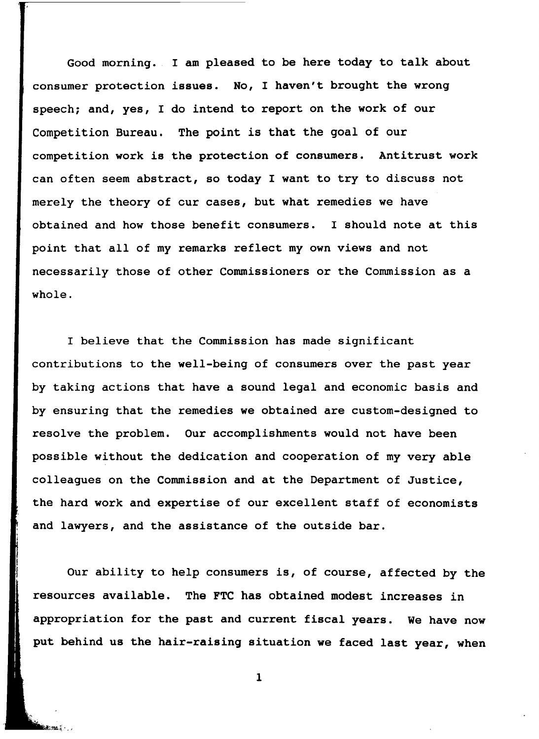Good morning. I am pleased to be here today to talk about consumer protection issues. No, I haven't brought the wrong speech; and, yes, I do intend to report on the work of our Competition Bureau. The point is that the goal of our competition work is the protection of consumers. Antitrust work can often seem abstract, so today I want to try to discuss not merely the theory of cur cases, but what remedies we have obtained and how those benefit consumers. I should note at this point that all of my remarks reflect my own views and not necessarily those of other Commissioners or the Commission as a whole.

I believe that the Commission has made significant contributions to the well-being of consumers over the past year by taking actions that have a sound legal and economic basis and by ensuring that the remedies we obtained are custom-designed to resolve the problem. Our accomplishments would not have been possible without the dedication and cooperation of my very able colleagues on the Commission and at the Department of Justice, the hard work and expertise of our excellent staff of economists and lawyers, and the assistance of the outside bar.

Our ability to help consumers is, of course, affected by the resources available. The FTC has obtained modest increases in appropriation for the past and current fiscal years. We have now put behind us the hair-raising situation we faced last year, when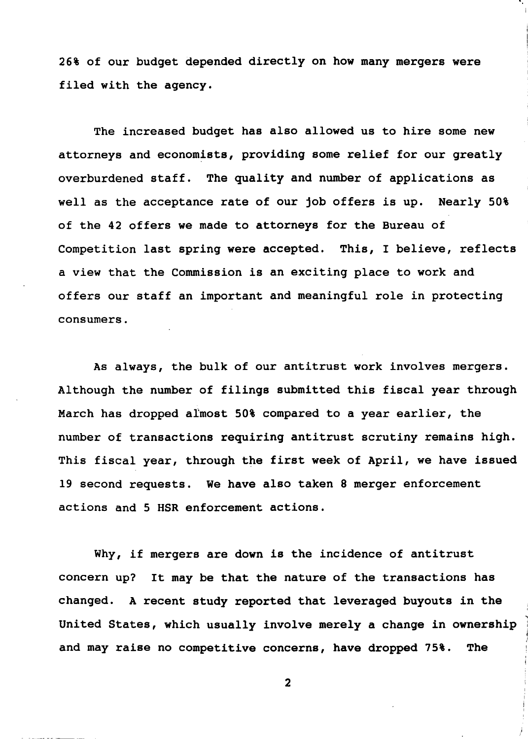26% of our budget depended directly on how many mergers were filed with the agency.

The increased budget has also allowed us to hire some new attorneys and economists, providing some relief for our greatly overburdened staff. The quality and number of applications as well as the acceptance rate of our job offers is up. Nearly 50% of the 42 offers we made to attorneys for the Bureau of Competition last spring were accepted. This, I believe, reflects a view that the Commission is an exciting place to work and offers our staff an important and meaningful role in protecting consumers.

As always, the bulk of our antitrust work involves mergers. Although the number of filings submitted this fiscal year through March has dropped aimost 50% compared to a year earlier, the number of transactions requiring antitrust scrutiny remains high. This fiscal year, through the first week of April, we have issued 19 second requests. We have also taken 8 merger enforcement actions and 5 HSR enforcement actions.

Why, if mergers are down is the incidence of antitrust concern up? It may be that the nature of the transactions has changed. A recent study reported that leveraged buyouts in the United States, which usually involve merely a change in ownership and may raise no competitive concerns, have dropped 75%. The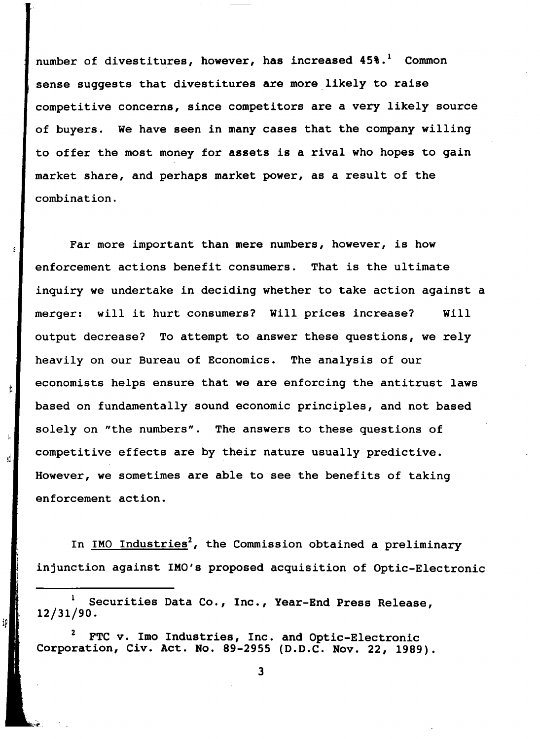number of divestitures, however, has increased  $45\$ <sup>1</sup>. Common sense suggests that divestitures are more likely to raise competitive concerns, since competitors are a very likely source of buyers. We have seen in many cases that the company willing to offer the most money for assets is a rival who hopes to gain market share, and perhaps market power, as a result of the combination.

Far more important than mere numbers, however, is how enforcement actions benefit consumers. That is the ultimate inquiry we undertake in deciding whether to take action against a merger: will it hurt consumers? Will prices increase? Will output decrease? To attempt to answer these questions, we rely heavily on our Bureau of Economics. The analysis of our economists helps ensure that we are enforcing the antitrust laws based on fundamentally sound economic principles, and not based solely on "the numbers". The answers to these questions of competitive effects are by their nature usually predictive. However, we sometimes are able to see the benefits of taking enforcement action.

rh

iP

In IMO Industries<sup>2</sup>, the Commission obtained a preliminary injunction against IMO's proposed acquisition of Optic-Electronic

 $\mathbf{1}$ Securities Data Co., Inc., Year-End Press Release, 12/31/90.

FTC v. Imo Industries, Inc. and Optic-Electronic Corporation, Civ. Act. No. 89-2955 (D.D.C. Nov. 22, 1989).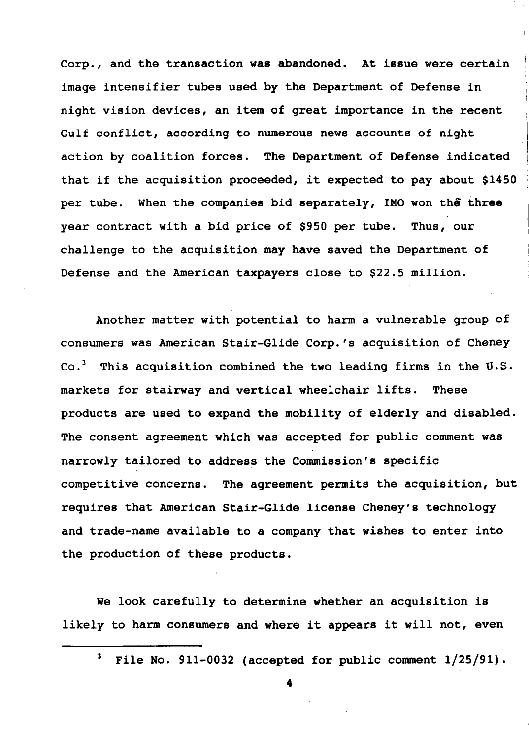Corp., and the transaction was abandoned. At issue were certain image intensifier tubes used by the Department of Defense in night vision devices, an item of great importance in the recent Gulf conflict, according to numerous news accounts of night action by coalition forces. The Department of Defense indicated that if the acquisition proceeded, it expected to pay about \$1450 per tube. When the companies bid separately, IMO won the three year contract with a bid price of \$950 per tube. Thus, our challenge to the acquisition may have saved the Department of Defense and the American taxpayers close to \$22.5 million.

Another matter with potential to harm a vulnerable group of consumers was American Stair-Glide Corp.'s acquisition of Cheney Co.<sup>3</sup> This acquisition combined the two leading firms in the U.S. markets for stairway and vertical wheelchair lifts. These products are used to expand the mobility of elderly and disabled. The consent agreement which was accepted for public comment was narrowly tailored to address the Commission's specific competitive concerns. The agreement permits the acquisition, but requires that American Stair-Glide license Cheney's technology and trade-name available to a company that wishes to enter into the production of these products.

We look carefully to determine whether an acquisition is likely to harm consumers and where it appears it will not, even

 $3$  File No. 911-0032 (accepted for public comment  $1/25/91$ ).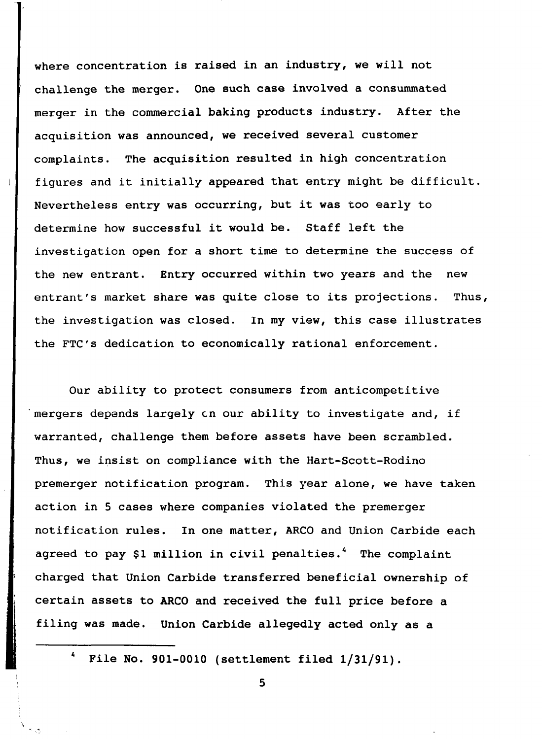where concentration is raised in an industry, we will not challenge the merger. One such case involved a consummated merger in the commercial baking products industry. After the acquisition was announced, we received several customer complaints. The acquisition resulted in high concentration figures and it initially appeared that entry might be difficult. Nevertheless entry was occurring, but it was too early to determine how successful it would be. Staff left the investigation open for a short time to determine the success of the new entrant. Entry occurred within two years and the new entrant's market share was quite close to its projections. Thus, the investigation was closed. In my view, this case illustrates the FTC's dedication to economically rational enforcement.

Our ability to protect consumers from anticompetitive mergers depends largely on our ability to investigate and, if warranted, challenge them before assets have been scrambled. Thus, we insist on compliance with the Hart-Scott-Rodino premerger notification program. This year alone, we have taken action in 5 cases where companies violated the premerger notification rules. In one matter, ARCO and Union Carbide each agreed to pay \$1 million in civil penalties.<sup>4</sup> The complaint charged that Union Carbide transferred beneficial ownership of certain assets to ARCO and received the full price before a filing was made. Union Carbide allegedly acted only as a

<sup>4</sup> File No. 901-0010 (settlement filed 1/31/91).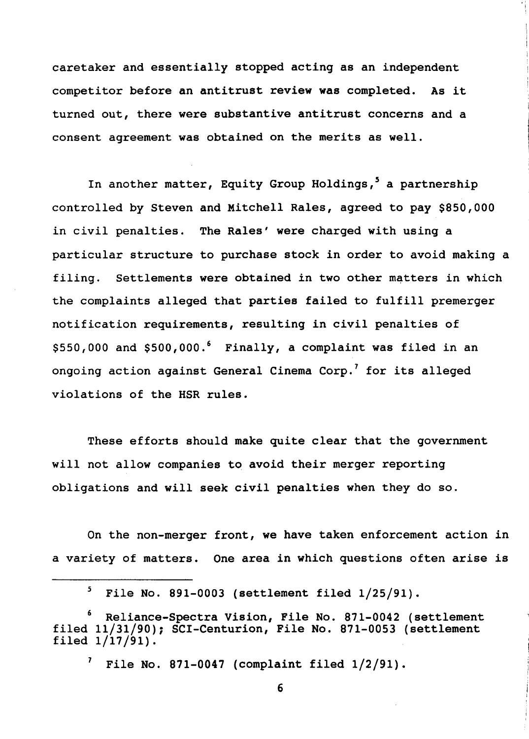caretaker and essentially stopped acting as an independent competitor before an antitrust review was completed. As it turned out, there were substantive antitrust concerns and a consent agreement was obtained on the merits as well.

In another matter, Equity Group Holdings,<sup>5</sup> a partnership controlled by Steven and Mitchell Rales, agreed to pay \$850,000 in civil penalties. The Rales' were charged with using a particular structure to purchase stock in order to avoid making a filing. Settlements were obtained in two other matters in which the complaints alleged that parties failed to fulfill premerger notification requirements, resulting in civil penalties of \$550,000 and \$500,000.<sup>6</sup> Finally, a complaint was filed in an ongoing action against General Cinema Corp.<sup>7</sup> for its alleged violations of the HSR rules.

These efforts should make quite clear that the government will not allow companies to avoid their merger reporting obligations and will seek civil penalties when they do so.

On the non-merger front, we have taken enforcement action in a variety of matters. One area in which questions often arise is

File No. 871-0047 (complaint filed  $1/2/91$ ).

 $5$  File No. 891-0003 (settlement filed  $1/25/91$ ).

Reliance-Spectra Vision, File No. 871-0042 (settlement filed 11/31/90); SCI-Centurion, File No. 871-0053 (settlement filed 1/17/91).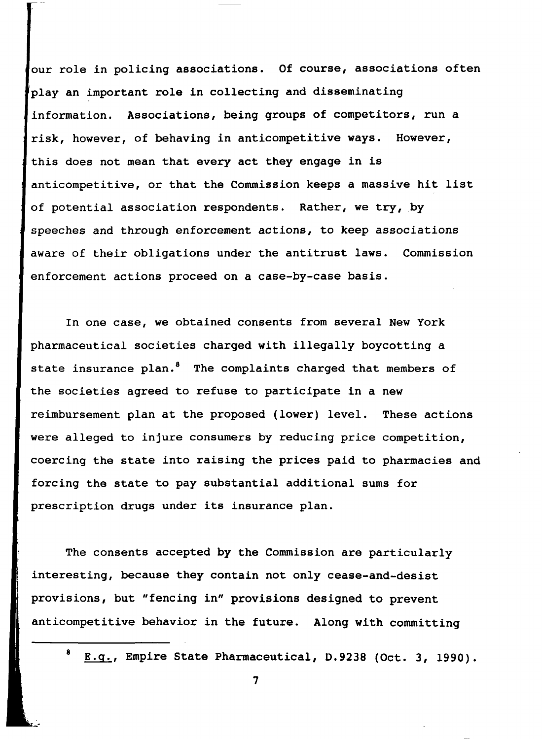our role in policing associations. Of course, associations often play an important role in collecting and disseminating information. Associations, being groups of competitors, run a risk, however, of behaving in anticompetitive ways. However, this does not mean that every act they engage in is anticompetitive, or that the Commission keeps a massive hit list of potential association respondents. Rather, we try, by speeches and through enforcement actions, to keep associations aware of their obligations under the antitrust laws. Commission enforcement actions proceed on a case-by-case basis.

In one case, we obtained consents from several New York pharmaceutical societies charged with illegally boycotting a state insurance plan.<sup>8</sup> The complaints charged that members of the societies agreed to refuse to participate in a new reimbursement plan at the proposed (lower) level. These actions were alleged to injure consumers by reducing price competition, coercing the state into raising the prices paid to pharmacies and forcing the state to pay substantial additional sums for prescription drugs under its insurance plan.

The consents accepted by the Commission are particularly interesting, because they contain not only cease-and-desist provisions, but "fencing in" provisions designed to prevent anticompetitive behavior in the future. Along with committing

E.g., Empire State Pharmaceutical, D.9238 (Oct. 3, 1990).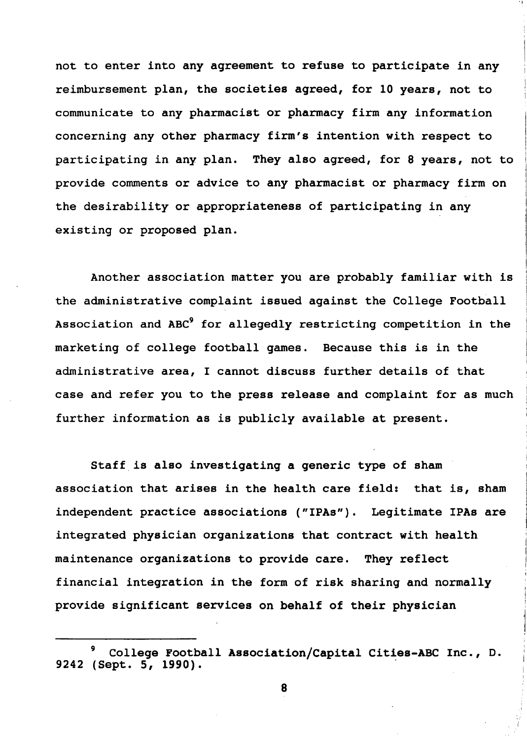not to enter into any agreement to refuse to participate in any reimbursement plan, the societies agreed, for 10 years, not to communicate to any pharmacist or pharmacy firm any information concerning any other pharmacy firm's intention with respect to participating in any plan. They also agreed, for 8 years, not to provide comments or advice to any pharmacist or pharmacy firm on the desirability or appropriateness of participating in any existing or proposed plan.

.,

Another association matter you are probably familiar with is the administrative complaint issued against the College Football Association and ABC<sup>9</sup> for allegedly restricting competition in the marketing of college football games. Because this is in the administrative area, I cannot discuss further details of that case and refer you to the press release and complaint for as much further information as is publicly available at present.

Staff is also investigating a generic type of sham association that arises in the health care field: that is, sham independent practice associations ("IPAs"). Legitimate IPAs are integrated physician organizations that contract with health maintenance organizations to provide care. They reflect financial integration in the form of risk sharing and normally provide significant services on behalf of their physician

*<sup>9</sup>*College Football Association/Capital Cities-ABC Inc., D. 9242 (Sept. 5, 1990).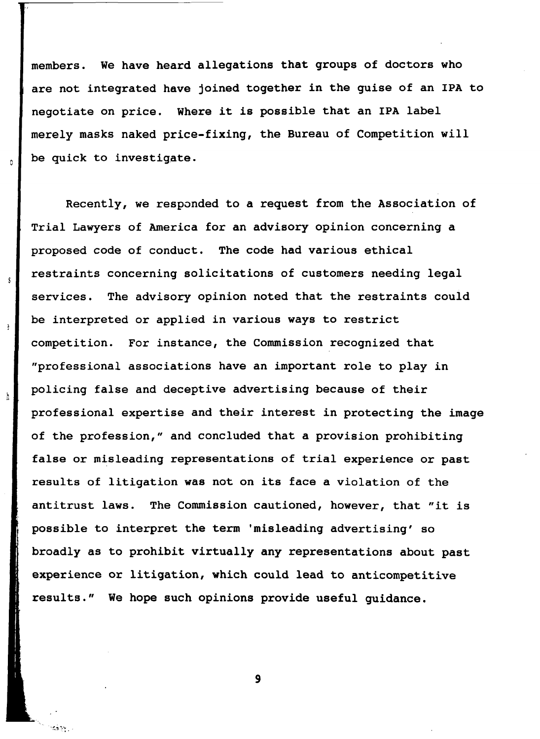members. We have heard allegations that groups of doctors who are not integrated have joined together in the guise of an IPA to negotiate on price. Where it is possible that an IPA label merely masks naked price-fixing, the Bureau of Competition will be quick to investigate.

Recently, we responded to a request from the Association of Trial Lawyers of America for an advisory opinion concerning a proposed code of conduct. The code had various ethical restraints concerning solicitations of customers needing legal services. The advisory opinion noted that the restraints could be interpreted or applied in various ways to restrict competition. For instance, the Commission recognized that "professional associations have an important role to play in policing false and deceptive advertising because of their professional expertise and their interest in protecting the image of the profession," and concluded that a provision prohibiting false or misleading representations of trial experience or past results of litigation was not on its face a violation of the antitrust laws. The Commission cautioned, however, that "it *is*  possible to interpret the term 'misleading advertising' so broadly as to prohibit virtually any representations about past experience or litigation, which could lead to anticompetitive results." We hope such opinions provide useful guidance.

S

P,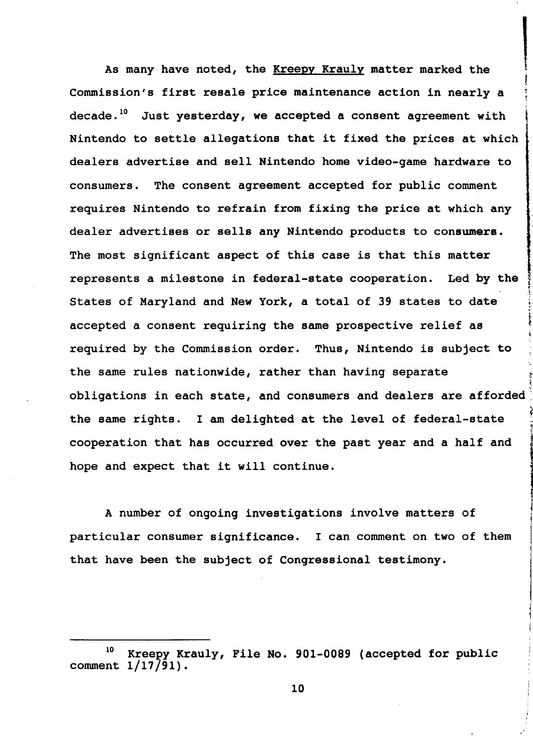As many have noted, the Kreepy Krauly matter marked the Commission's first resale price maintenance action in nearly a decade.<sup>10</sup> Just yesterday, we accepted a consent agreement with Nintendo to settle allegations that it fixed the prices at which dealers advertise and sell Nintendo home video-game hardware to consumers. The consent agreement accepted for public comment requires Nintendo to refrain from fixing the price at which any dealer advertises or sells any Nintendo products to consumers. The most significant aspect of this case is that this matter , represents a milestone in federal-state cooperation. Led by the { States of Maryland and New York, a total of 39 states to date accepted a consent requiring the same prospective relief as required by the Commission order. Thus, Nintendo is subject to the same rules nationwide, rather than having separate obligations in each state, and consumers and dealers are afforded the same rights. I am delighted at the level of federal-state cooperation that has occurred over the past year and a half and hope and expect that it will continue.

•·

*t* 

f

A number of ongoing investigations involve matters of particular consumer significance. I can comment on two of them that have been the subject of Congressional testimony.

<sup>10</sup> Kreepy Krauly, File No. 901-0089 (accepted for public comment  $1/17/91$ .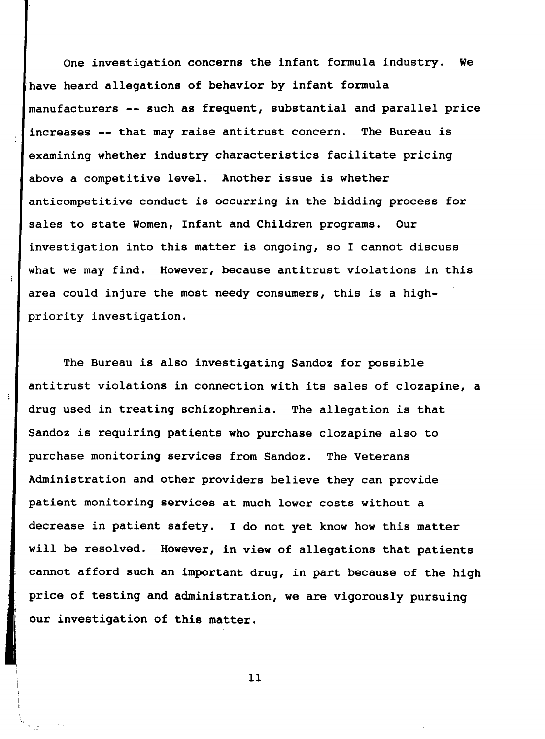One investigation concerns the infant formula industry. We have heard allegations of behavior by infant formula manufacturers -- such as frequent, substantial and parallel price increases -- that may raise antitrust concern. The Bureau is examining whether industry characteristics facilitate pricing above a competitive level. Another issue is whether anticompetitive conduct is occurring in the bidding process for sales to state Women, Infant and Children programs. Our investigation into this matter is ongoing, so I cannot discuss what we may find. However, because antitrust violations in this area could injure the most needy consumers, this is a highpriority investigation.

The Bureau is also investigating Sandoz for possible antitrust violations in connection with its sales of clozapine, a drug used in treating schizophrenia. The allegation is that Sandoz is requiring patients who purchase clozapine also to purchase monitoring services from Sandoz. The Veterans Administration and other providers believe they can provide patient monitoring services at much lower costs without a decrease in patient safety. I do not yet know how this matter will be resolved. However, in view of allegations that patients cannot afford such an important drug, in part because of the high price of testing and administration, we are vigorously pursuing our investigation of this matter.

Y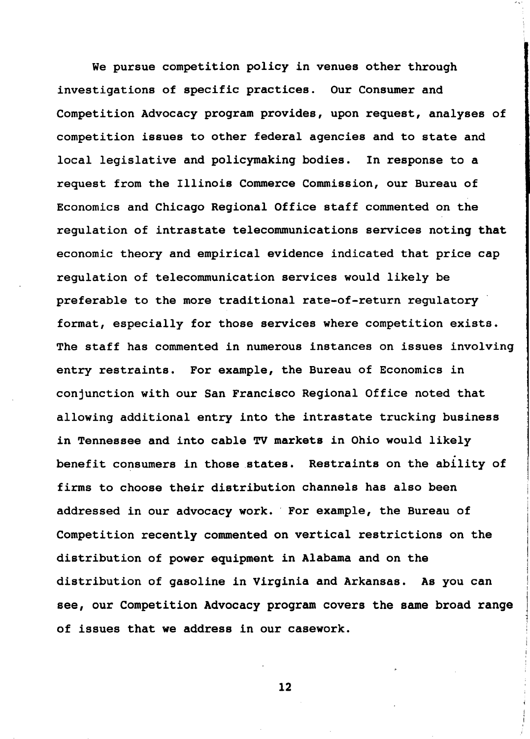We pursue competition policy *in* venues other through investigations of specific practices. Our Consumer and Competition Advocacy program provides, upon request, analyses of competition issues to other federal agencies and to state and local legislative and policymaking bodies. In response to a request from the Illinois Commerce Commission, our Bureau of Economics and Chicago Regional Office staff commented on the regulation of intrastate telecommunications services noting that economic theory and empirical evidence indicated that price cap regulation of telecommunication services would likely be preferable to the more traditional rate-of-return regulatory format, especially for those services where competition exists. The staff has commented *in* numerous instances on issues involving entry restraints. For example, the Bureau of Economics *in*  conjunction with our San Francisco Regional Office noted that allowing additional entry into the intrastate trucking business *in* Tennessee and into cable TV markets *in* Ohio would likely benefit consumers in those states. Restraints on the ability of firms to choose their distribution channels has also been addressed *in* our advocacy work. · For example, the Bureau of Competition recently commented on vertical restrictions on the distribution of power equipment *in* Alabama and on the distribution of gasoline *in* Virginia and Arkansas. As you can see, our Competition Advocacy program covers the same broad range of issues that we address in our casework.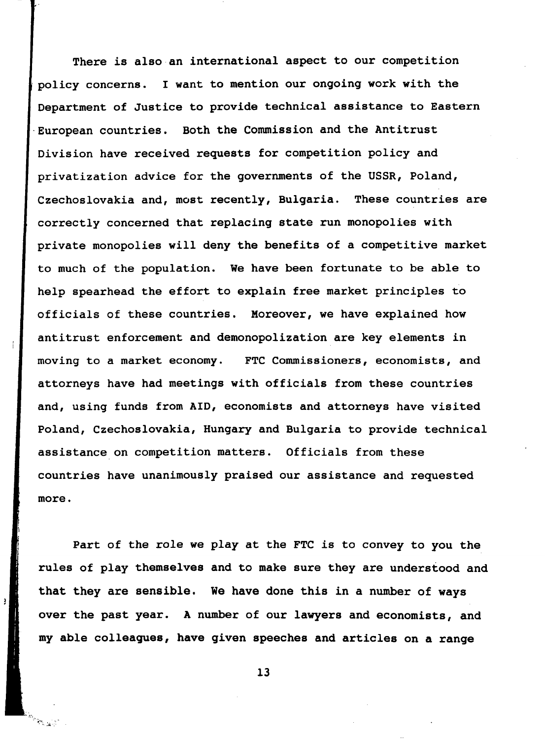There is also an international aspect to our competition policy concerns. I want to mention our ongoing work with the Department of Justice to provide technical assistance to Eastern European countries. Both the Commission and the Antitrust Division have received requests for competition policy and privatization advice for the governments of the USSR, Poland, Czechoslovakia and, most recently, Bulgaria. These countries are correctly concerned that replacing state run monopolies with private monopolies will deny the benefits of a competitive market to much of the population. We have been fortunate to be able to help spearhead the effort to explain free market principles to officials of these countries. Moreover, we have explained how antitrust enforcement and demonopolization are key elements in moving to a market economy. FTC Commissioners, economists, and attorneys have had meetings with officials from these countries and, using funds from AID, economists and attorneys have visited Poland, Czechoslovakia, Hungary and Bulgaria to provide technical assistance on competition matters. Officials from these countries have unanimously praised our assistance and requested more.

Part of the role we play at the FTC is to convey to you the rules of play themselves and to make sure they are understood and that they are sensible. We have done this in a number of ways over the past year. A number of our lawyers and economists, and my able colleagues, have given speeches and articles on a range

ţ

**BALLA**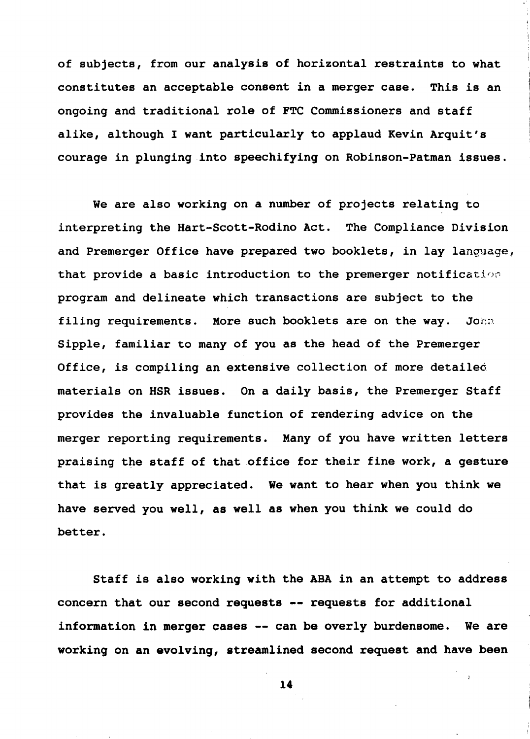of subjects, from our analysis of horizontal restraints to what constitutes an acceptable consent in a merger case. This is an ongoing and traditional role of FTC Commissioners and staff alike, although I want particularly to applaud Kevin Arquit's courage in plunging into speechifying on Robinson-Patman issues.

We are also working on a number of projects relating to interpreting the Hart-Scott-Rodino Act. The Compliance Division and Premerger Office have prepared two booklets, in lay language, that provide a basic introduction to the premerger notification program and delineate which transactions are subject to the filing requirements. More such booklets are on the way. John Sipple, familiar to many of you as the head of the Premerger Office, is compiling an extensive collection of more detaileo materials on HSR issues. On a daily basis, the Premerger Staff provides the invaluable function of rendering advice on the merger reporting requirements. Many of you have written letters praising the staff of that office for their fine work, a gesture that is greatly appreciated. We want to hear when you think we have served you well, as well as when you think we could do better.

Staff is also working with the ABA in an attempt to address concern that our second requests -- requests for additional information in merger cases -- can be overly burdensome. We are working on an evolving, streamlined second request and have been